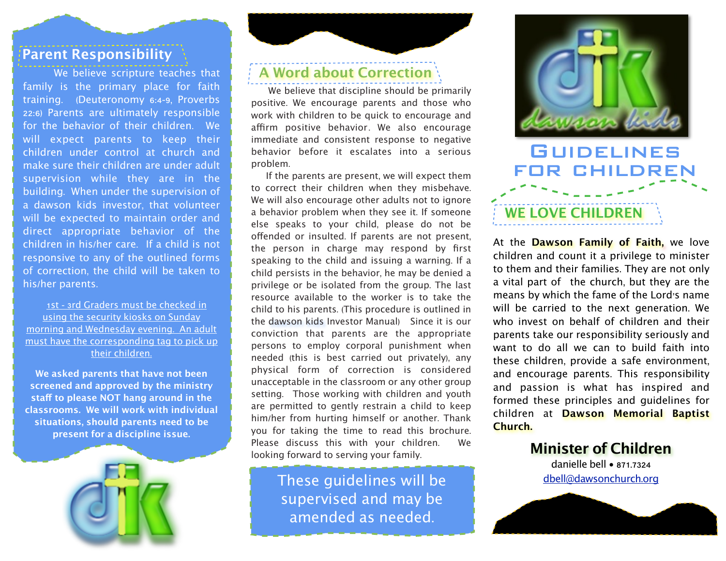#### **Parent Responsibility**

family is the primary place for faith training. (Deuteronomy 6:4-9, Proverbs 22:6) Parents are ultimately responsible for the behavior of their children. We will expect parents to keep their children under control at church and make sure their children are under adult supervision while they are in the building. When under the supervision of a dawson kids investor, that volunteer will be expected to maintain order and direct appropriate behavior of the children in his/her care. If a child is not responsive to any of the outlined forms of correction, the child will be taken to his/her parents.

 1st - 3rd Graders must be checked in using the security kiosks on Sunday morning and Wednesday evening. An adult must have the corresponding tag to pick up their children.

**We asked parents that have not been screened and approved by the ministry staf to please NOT hang around in the classrooms. We will work with individual situations, should parents need to be present for a discipline issue.** 



### **We believe scripture teaches that <b>A** Word about Correction

 We believe that discipline should be primarily positive. We encourage parents and those who work with children to be quick to encourage and affirm positive behavior. We also encourage immediate and consistent response to negative behavior before it escalates into a serious problem.

 If the parents are present, we will expect them to correct their children when they misbehave. We will also encourage other adults not to ignore a behavior problem when they see it. If someone else speaks to your child, please do not be ofended or insulted. If parents are not present, the person in charge may respond by first speaking to the child and issuing a warning. If a child persists in the behavior, he may be denied a privilege or be isolated from the group. The last resource available to the worker is to take the child to his parents. (This procedure is outlined in the dawson kids Investor Manual) Since it is our conviction that parents are the appropriate persons to employ corporal punishment when needed (this is best carried out privately), any physical form of correction is considered unacceptable in the classroom or any other group setting. Those working with children and youth are permitted to gently restrain a child to keep him/her from hurting himself or another. Thank you for taking the time to read this brochure. Please discuss this with your children. We looking forward to serving your family.

> These guidelines will be supervised and may be amended as needed.



At the **Dawson Family of Faith,** we love children and count it a privilege to minister to them and their families. They are not only a vital part of the church, but they are the means by which the fame of the Lord's name will be carried to the next generation. We who invest on behalf of children and their parents take our responsibility seriously and want to do all we can to build faith into these children, provide a safe environment, and encourage parents. This responsibility and passion is what has inspired and formed these principles and guidelines for children at **Dawson Memorial Baptist Church.**

> **Minister of Children** danielle bell • 871.7324 [dbell@dawsonchurch](mailto:dbell@dawsonchurch.org).org